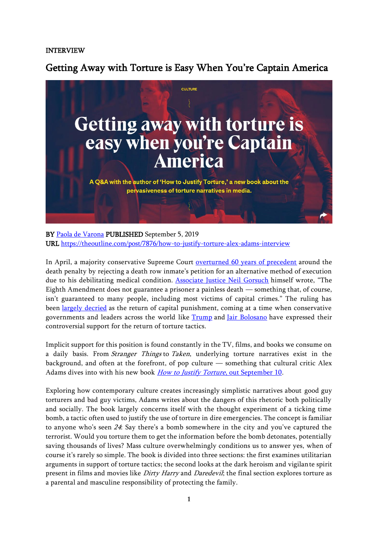### INTERVIEW

Getting Away with Torture is Easy When You're Captain America



BY Paola de [Varona](https://theoutline.com/contributor/579/paola-de-varona) PUBLISHED September 5, 2019 URL <https://theoutline.com/post/7876/how-to-justify-torture-alex-adams-interview>

In April, a majority conservative Supreme Court [overturned 60 years of precedent](https://slate.com/news-and-politics/2019/04/supreme-court-neil-gorsuch-eighth-amendment-death-penalty-torture.html) around the death penalty by rejecting a death row inmate's petition for an alternative method of execution due to his debilitating medical condition. [Associate Justice Neil Gorsuch](https://www.theatlantic.com/ideas/archive/2019/04/supreme-court-majority-defends-death-penalty/587749/) himself wrote, "The Eighth Amendment does not guarantee a prisoner a painless death — something that, of course, isn't guaranteed to many people, including most victims of capital crimes." The ruling has been [largely decried](https://www.cnn.com/2019/04/02/opinions/supreme-court-cruel-death-row-ruling-filipovic/index.html) as the return of capital punishment, coming at a time when conservative governments and leaders across the world like [Trump](https://www.theatlantic.com/politics/archive/2017/01/trump-torture/514463/) and [Jair Bolosano](https://www.cnbc.com/2018/10/29/brazil-election-jair-bolsonaros-most-controversial-quotes.html) have expressed their controversial support for the return of torture tactics.

Implicit support for this position is found constantly in the TV, films, and books we consume on a daily basis. From Stranger Things to Taken, underlying torture narratives exist in the background, and often at the forefront, of pop culture — something that cultural critic Alex Adams dives into with his new book *[How to Justify Torture](https://www.penguinrandomhouse.ca/books/612156/how-to-justify-torture-by-alex-adams)*, out September 10.

Exploring how contemporary culture creates increasingly simplistic narratives about good guy torturers and bad guy victims, Adams writes about the dangers of this rhetoric both politically and socially. The book largely concerns itself with the thought experiment of a ticking time bomb, a tactic often used to justify the use of torture in dire emergencies. The concept is familiar to anyone who's seen <sup>24</sup>: Say there's a bomb somewhere in the city and you've captured the terrorist. Would you torture them to get the information before the bomb detonates, potentially saving thousands of lives? Mass culture overwhelmingly conditions us to answer yes, when of course it's rarely so simple. The book is divided into three sections: the first examines utilitarian arguments in support of torture tactics; the second looks at the dark heroism and vigilante spirit present in films and movies like *Dirty Harry* and *Daredevil*; the final section explores torture as a parental and masculine responsibility of protecting the family.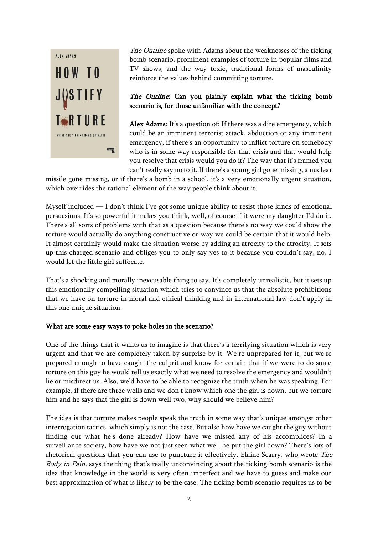

The Outline spoke with Adams about the weaknesses of the ticking bomb scenario, prominent examples of torture in popular films and TV shows, and the way toxic, traditional forms of masculinity reinforce the values behind committing torture.

# The Outline: Can you plainly explain what the ticking bomb scenario is, for those unfamiliar with the concept?

Alex Adams: It's a question of: If there was a dire emergency, which could be an imminent terrorist attack, abduction or any imminent emergency, if there's an opportunity to inflict torture on somebody who is in some way responsible for that crisis and that would help you resolve that crisis would you do it? The way that it's framed you can't really say no to it. If there's a young girl gone missing, a nuclear

missile gone missing, or if there's a bomb in a school, it's a very emotionally urgent situation, which overrides the rational element of the way people think about it.

Myself included — I don't think I've got some unique ability to resist those kinds of emotional persuasions. It's so powerful it makes you think, well, of course if it were my daughter I'd do it. There's all sorts of problems with that as a question because there's no way we could show the torture would actually do anything constructive or way we could be certain that it would help. It almost certainly would make the situation worse by adding an atrocity to the atrocity. It sets up this charged scenario and obliges you to only say yes to it because you couldn't say, no, I would let the little girl suffocate.

That's a shocking and morally inexcusable thing to say. It's completely unrealistic, but it sets up this emotionally compelling situation which tries to convince us that the absolute prohibitions that we have on torture in moral and ethical thinking and in international law don't apply in this one unique situation.

#### What are some easy ways to poke holes in the scenario?

One of the things that it wants us to imagine is that there's a terrifying situation which is very urgent and that we are completely taken by surprise by it. We're unprepared for it, but we're prepared enough to have caught the culprit and know for certain that if we were to do some torture on this guy he would tell us exactly what we need to resolve the emergency and wouldn't lie or misdirect us. Also, we'd have to be able to recognize the truth when he was speaking. For example, if there are three wells and we don't know which one the girl is down, but we torture him and he says that the girl is down well two, why should we believe him?

The idea is that torture makes people speak the truth in some way that's unique amongst other interrogation tactics, which simply is not the case. But also how have we caught the guy without finding out what he's done already? How have we missed any of his accomplices? In a surveillance society, how have we not just seen what well he put the girl down? There's lots of rhetorical questions that you can use to puncture it effectively. Elaine Scarry, who wrote The Body in Pain, says the thing that's really unconvincing about the ticking bomb scenario is the idea that knowledge in the world is very often imperfect and we have to guess and make our best approximation of what is likely to be the case. The ticking bomb scenario requires us to be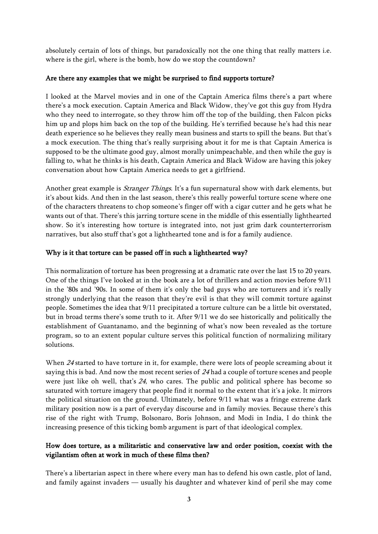absolutely certain of lots of things, but paradoxically not the one thing that really matters i.e. where is the girl, where is the bomb, how do we stop the countdown?

### Are there any examples that we might be surprised to find supports torture?

I looked at the Marvel movies and in one of the Captain America films there's a part where there's a mock execution. Captain America and Black Widow, they've got this guy from Hydra who they need to interrogate, so they throw him off the top of the building, then Falcon picks him up and plops him back on the top of the building. He's terrified because he's had this near death experience so he believes they really mean business and starts to spill the beans. But that's a mock execution. The thing that's really surprising about it for me is that Captain America is supposed to be the ultimate good guy, almost morally unimpeachable, and then while the guy is falling to, what he thinks is his death, Captain America and Black Widow are having this jokey conversation about how Captain America needs to get a girlfriend.

Another great example is *Stranger Things*. It's a fun supernatural show with dark elements, but it's about kids. And then in the last season, there's this really powerful torture scene where one of the characters threatens to chop someone's finger off with a cigar cutter and he gets what he wants out of that. There's this jarring torture scene in the middle of this essentially lighthearted show. So it's interesting how torture is integrated into, not just grim dark counterterrorism narratives, but also stuff that's got a lighthearted tone and is for a family audience.

### Why is it that torture can be passed off in such a lighthearted way?

This normalization of torture has been progressing at a dramatic rate over the last 15 to 20 years. One of the things I've looked at in the book are a lot of thrillers and action movies before 9/11 in the '80s and '90s. In some of them it's only the bad guys who are torturers and it's really strongly underlying that the reason that they're evil is that they will commit torture against people. Sometimes the idea that 9/11 precipitated a torture culture can be a little bit overstated, but in broad terms there's some truth to it. After 9/11 we do see historically and politically the establishment of Guantanamo, and the beginning of what's now been revealed as the torture program, so to an extent popular culture serves this political function of normalizing military solutions.

When <sup>24</sup> started to have torture in it, for example, there were lots of people screaming about it saying this is bad. And now the most recent series of 24 had a couple of torture scenes and people were just like oh well, that's <sup>24</sup>, who cares. The public and political sphere has become so saturated with torture imagery that people find it normal to the extent that it's a joke. It mirrors the political situation on the ground. Ultimately, before 9/11 what was a fringe extreme dark military position now is a part of everyday discourse and in family movies. Because there's this rise of the right with Trump, Bolsonaro, Boris Johnson, and Modi in India, I do think the increasing presence of this ticking bomb argument is part of that ideological complex.

## How does torture, as a militaristic and conservative law and order position, coexist with the vigilantism often at work in much of these films then?

There's a libertarian aspect in there where every man has to defend his own castle, plot of land, and family against invaders — usually his daughter and whatever kind of peril she may come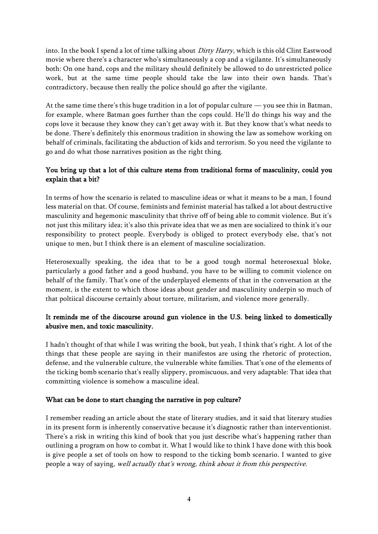into. In the book I spend a lot of time talking about *Dirty Harry*, which is this old Clint Eastwood movie where there's a character who's simultaneously a cop and a vigilante. It's simultaneously both: On one hand, cops and the military should definitely be allowed to do unrestricted police work, but at the same time people should take the law into their own hands. That's contradictory, because then really the police should go after the vigilante.

At the same time there's this huge tradition in a lot of popular culture — you see this in Batman, for example, where Batman goes further than the cops could. He'll do things his way and the cops love it because they know they can't get away with it. But they know that's what needs to be done. There's definitely this enormous tradition in showing the law as somehow working on behalf of criminals, facilitating the abduction of kids and terrorism. So you need the vigilante to go and do what those narratives position as the right thing.

# You bring up that a lot of this culture stems from traditional forms of masculinity, could you explain that a bit?

In terms of how the scenario is related to masculine ideas or what it means to be a man, I found less material on that. Of course, feminists and feminist material has talked a lot about destructive masculinity and hegemonic masculinity that thrive off of being able to commit violence. But it's not just this military idea; it's also this private idea that we as men are socialized to think it's our responsibility to protect people. Everybody is obliged to protect everybody else, that's not unique to men, but I think there is an element of masculine socialization.

Heterosexually speaking, the idea that to be a good tough normal heterosexual bloke, particularly a good father and a good husband, you have to be willing to commit violence on behalf of the family. That's one of the underplayed elements of that in the conversation at the moment, is the extent to which those ideas about gender and masculinity underpin so much of that poltiical discourse certainly about torture, militarism, and violence more generally.

# It reminds me of the discourse around gun violence in the U.S. being linked to domestically abusive men, and toxic masculinity.

I hadn't thought of that while I was writing the book, but yeah, I think that's right. A lot of the things that these people are saying in their manifestos are using the rhetoric of protection, defense, and the vulnerable culture, the vulnerable white families. That's one of the elements of the ticking bomb scenario that's really slippery, promiscuous, and very adaptable: That idea that committing violence is somehow a masculine ideal.

## What can be done to start changing the narrative in pop culture?

I remember reading an article about the state of literary studies, and it said that literary studies in its present form is inherently conservative because it's diagnostic rather than interventionist. There's a risk in writing this kind of book that you just describe what's happening rather than outlining a program on how to combat it. What I would like to think I have done with this book is give people a set of tools on how to respond to the ticking bomb scenario. I wanted to give people a way of saying, well actually that's wrong, think about it from this perspective.